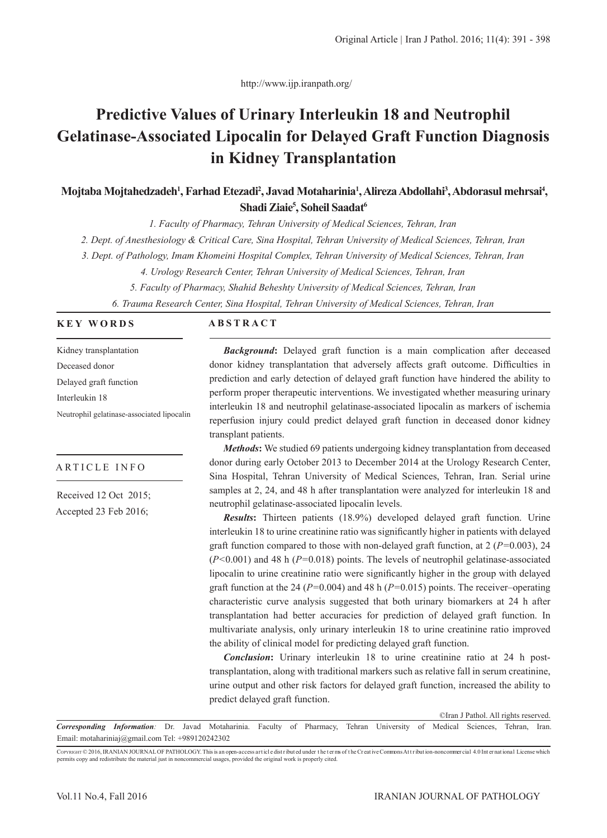http://www.ijp.iranpath.org/

# **Predictive Values of Urinary Interleukin 18 and Neutrophil Gelatinase-Associated Lipocalin for Delayed Graft Function Diagnosis in Kidney Transplantation**

## **Mojtaba Mojtahedzadeh1 , Farhad Etezadi2 , Javad Motaharinia1 , Alireza Abdollahi3 , Abdorasul mehrsai4 , Shadi Ziaie5 , Soheil Saadat6**

*1. Faculty of Pharmacy, Tehran University of Medical Sciences, Tehran, Iran*

*2. Dept. of Anesthesiology & Critical Care, Sina Hospital, Tehran University of Medical Sciences, Tehran, Iran*

*3. Dept. of Pathology, Imam Khomeini Hospital Complex, Tehran University of Medical Sciences, Tehran, Iran*

*4. Urology Research Center, Tehran University of Medical Sciences, Tehran, Iran*

*5. Faculty of Pharmacy, Shahid Beheshty University of Medical Sciences, Tehran, Iran*

*6. Trauma Research Center, Sina Hospital, Tehran University of Medical Sciences, Tehran, Iran*

### **KEY WORDS**

Kidney transplantation Deceased donor Delayed graft function Interleukin 18 Neutrophil gelatinase-associated lipocalin

### ARTICLE INFO

Received 12 Oct 2015; Accepted 23 Feb 2016;

### **ABSTRACT**

*Background***:** Delayed graft function is a main complication after deceased donor kidney transplantation that adversely affects graft outcome. Difficulties in prediction and early detection of delayed graft function have hindered the ability to perform proper therapeutic interventions. We investigated whether measuring urinary interleukin 18 and neutrophil gelatinase-associated lipocalin as markers of ischemia reperfusion injury could predict delayed graft function in deceased donor kidney transplant patients.

*Methods***:** We studied 69 patients undergoing kidney transplantation from deceased donor during early October 2013 to December 2014 at the Urology Research Center, Sina Hospital, Tehran University of Medical Sciences, Tehran, Iran. Serial urine samples at 2, 24, and 48 h after transplantation were analyzed for interleukin 18 and neutrophil gelatinase-associated lipocalin levels.

*Results*: Thirteen patients (18.9%) developed delayed graft function. Urine interleukin 18 to urine creatinine ratio was significantly higher in patients with delayed graft function compared to those with non-delayed graft function, at 2 (*P=*0.003), 24 (*P<*0.001) and 48 h (*P=*0.018) points. The levels of neutrophil gelatinase-associated lipocalin to urine creatinine ratio were significantly higher in the group with delayed graft function at the 24 (*P=*0.004) and 48 h (*P=*0.015) points. The receiver–operating characteristic curve analysis suggested that both urinary biomarkers at 24 h after transplantation had better accuracies for prediction of delayed graft function. In multivariate analysis, only urinary interleukin 18 to urine creatinine ratio improved the ability of clinical model for predicting delayed graft function.

*Conclusion*: Urinary interleukin 18 to urine creatinine ratio at 24 h posttransplantation, along with traditional markers such as relative fall in serum creatinine, urine output and other risk factors for delayed graft function, increased the ability to predict delayed graft function.

©Iran J Pathol. All rights reserved.

*Corresponding Information:* Dr. Javad Motaharinia. Faculty of Pharmacy, Tehran University of Medical Sciences, Tehran, Iran. Email: motahariniaj@gmail.com Tel: +989120242302

Copyright © 2016, IRANIAN JOURNAL OF PATHOLOGY. This is an open-access art icl e dist r ibut ed under t he t er ms of t he Cr eat ive Commons At t r ibut ion-noncommer cial 4.0 Int er nat ional License which permits copy and redistribute the material just in noncommercial usages, provided the original work is properly cited.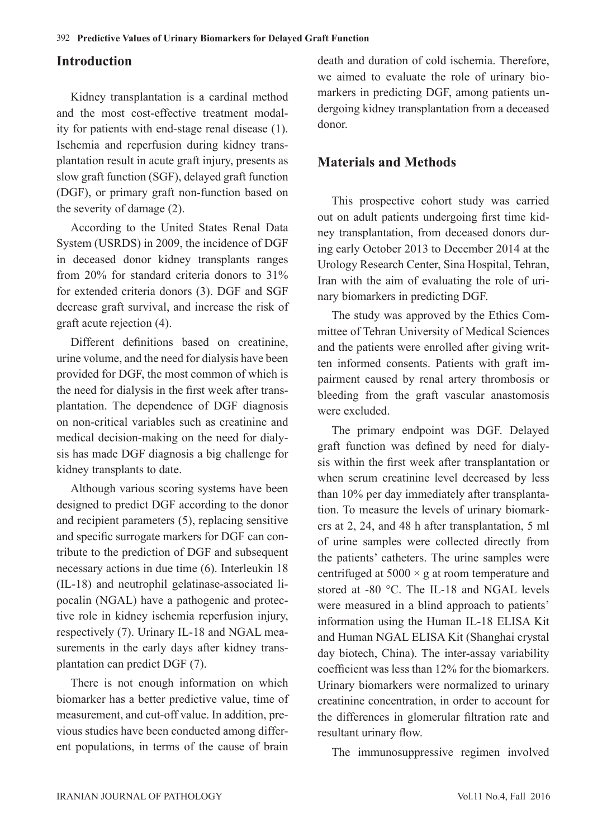## **Introduction**

Kidney transplantation is a cardinal method and the most cost-effective treatment modality for patients with end-stage renal disease (1). Ischemia and reperfusion during kidney transplantation result in acute graft injury, presents as slow graft function (SGF), delayed graft function (DGF), or primary graft non-function based on the severity of damage (2).

According to the United States Renal Data System (USRDS) in 2009, the incidence of DGF in deceased donor kidney transplants ranges from 20% for standard criteria donors to 31% for extended criteria donors (3). DGF and SGF decrease graft survival, and increase the risk of graft acute rejection (4).

Different definitions based on creatinine, urine volume, and the need for dialysis have been provided for DGF, the most common of which is the need for dialysis in the first week after transplantation. The dependence of DGF diagnosis on non-critical variables such as creatinine and medical decision-making on the need for dialysis has made DGF diagnosis a big challenge for kidney transplants to date.

Although various scoring systems have been designed to predict DGF according to the donor and recipient parameters (5), replacing sensitive and specific surrogate markers for DGF can contribute to the prediction of DGF and subsequent necessary actions in due time (6). Interleukin 18 (IL-18) and neutrophil gelatinase-associated lipocalin (NGAL) have a pathogenic and protective role in kidney ischemia reperfusion injury, respectively (7). Urinary IL-18 and NGAL measurements in the early days after kidney transplantation can predict DGF (7).

There is not enough information on which biomarker has a better predictive value, time of measurement, and cut-off value. In addition, previous studies have been conducted among different populations, in terms of the cause of brain

death and duration of cold ischemia. Therefore, we aimed to evaluate the role of urinary biomarkers in predicting DGF, among patients undergoing kidney transplantation from a deceased donor.

## **Materials and Methods**

This prospective cohort study was carried out on adult patients undergoing first time kidney transplantation, from deceased donors during early October 2013 to December 2014 at the Urology Research Center, Sina Hospital, Tehran, Iran with the aim of evaluating the role of urinary biomarkers in predicting DGF.

The study was approved by the Ethics Committee of Tehran University of Medical Sciences and the patients were enrolled after giving written informed consents. Patients with graft impairment caused by renal artery thrombosis or bleeding from the graft vascular anastomosis were excluded.

The primary endpoint was DGF. Delayed graft function was defined by need for dialysis within the first week after transplantation or when serum creatinine level decreased by less than 10% per day immediately after transplantation. To measure the levels of urinary biomarkers at 2, 24, and 48 h after transplantation, 5 ml of urine samples were collected directly from the patients' catheters. The urine samples were centrifuged at  $5000 \times g$  at room temperature and stored at -80 °C. The IL-18 and NGAL levels were measured in a blind approach to patients' information using the Human IL-18 ELISA Kit and Human NGAL ELISA Kit (Shanghai crystal day biotech, China). The inter-assay variability coefficient was less than 12% for the biomarkers. Urinary biomarkers were normalized to urinary creatinine concentration, in order to account for the differences in glomerular filtration rate and resultant urinary flow.

The immunosuppressive regimen involved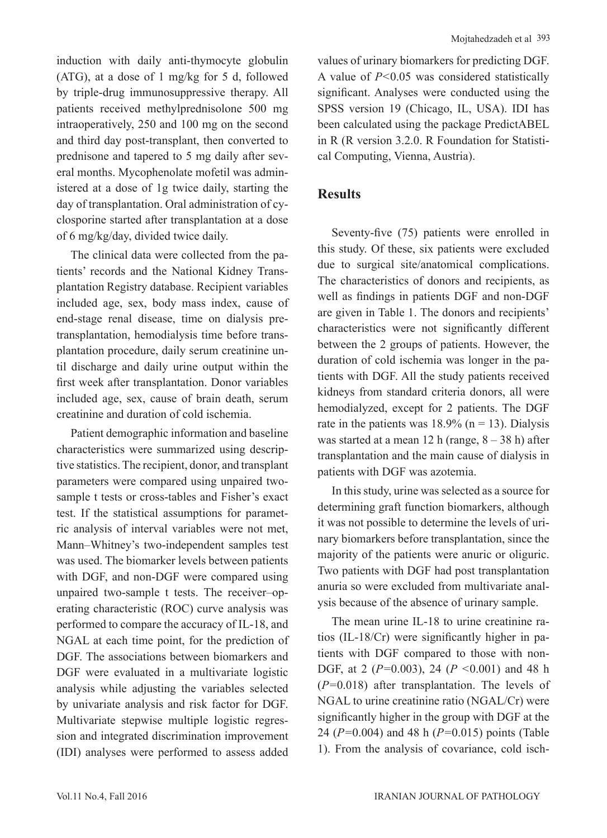induction with daily anti-thymocyte globulin (ATG), at a dose of 1 mg/kg for 5 d, followed by triple-drug immunosuppressive therapy. All patients received methylprednisolone 500 mg intraoperatively, 250 and 100 mg on the second and third day post-transplant, then converted to prednisone and tapered to 5 mg daily after several months. Mycophenolate mofetil was administered at a dose of 1g twice daily, starting the day of transplantation. Oral administration of cyclosporine started after transplantation at a dose of 6 mg/kg/day, divided twice daily.

The clinical data were collected from the patients' records and the National Kidney Transplantation Registry database. Recipient variables included age, sex, body mass index, cause of end-stage renal disease, time on dialysis pretransplantation, hemodialysis time before transplantation procedure, daily serum creatinine until discharge and daily urine output within the first week after transplantation. Donor variables included age, sex, cause of brain death, serum creatinine and duration of cold ischemia.

Patient demographic information and baseline characteristics were summarized using descriptive statistics. The recipient, donor, and transplant parameters were compared using unpaired twosample t tests or cross-tables and Fisher's exact test. If the statistical assumptions for parametric analysis of interval variables were not met, Mann–Whitney's two-independent samples test was used. The biomarker levels between patients with DGF, and non-DGF were compared using unpaired two-sample t tests. The receiver–operating characteristic (ROC) curve analysis was performed to compare the accuracy of IL-18, and NGAL at each time point, for the prediction of DGF. The associations between biomarkers and DGF were evaluated in a multivariate logistic analysis while adjusting the variables selected by univariate analysis and risk factor for DGF. Multivariate stepwise multiple logistic regression and integrated discrimination improvement (IDI) analyses were performed to assess added

values of urinary biomarkers for predicting DGF. A value of *P<*0.05 was considered statistically significant. Analyses were conducted using the SPSS version 19 (Chicago, IL, USA). IDI has been calculated using the package PredictABEL in R (R version 3.2.0. R Foundation for Statistical Computing, Vienna, Austria).

## **Results**

Seventy-five (75) patients were enrolled in this study. Of these, six patients were excluded due to surgical site/anatomical complications. The characteristics of donors and recipients, as well as findings in patients DGF and non-DGF are given in Table 1. The donors and recipients' characteristics were not significantly different between the 2 groups of patients. However, the duration of cold ischemia was longer in the patients with DGF. All the study patients received kidneys from standard criteria donors, all were hemodialyzed, except for 2 patients. The DGF rate in the patients was  $18.9\%$  (n = 13). Dialysis was started at a mean 12 h (range,  $8 - 38$  h) after transplantation and the main cause of dialysis in patients with DGF was azotemia.

In this study, urine was selected as a source for determining graft function biomarkers, although it was not possible to determine the levels of urinary biomarkers before transplantation, since the majority of the patients were anuric or oliguric. Two patients with DGF had post transplantation anuria so were excluded from multivariate analysis because of the absence of urinary sample.

The mean urine IL-18 to urine creatinine ratios (IL-18/Cr) were significantly higher in patients with DGF compared to those with non-DGF, at 2 (*P=*0.003), 24 (*P <*0.001) and 48 h (*P=*0.018) after transplantation. The levels of NGAL to urine creatinine ratio (NGAL/Cr) were significantly higher in the group with DGF at the 24 (*P=*0.004) and 48 h (*P=*0.015) points (Table 1). From the analysis of covariance, cold isch-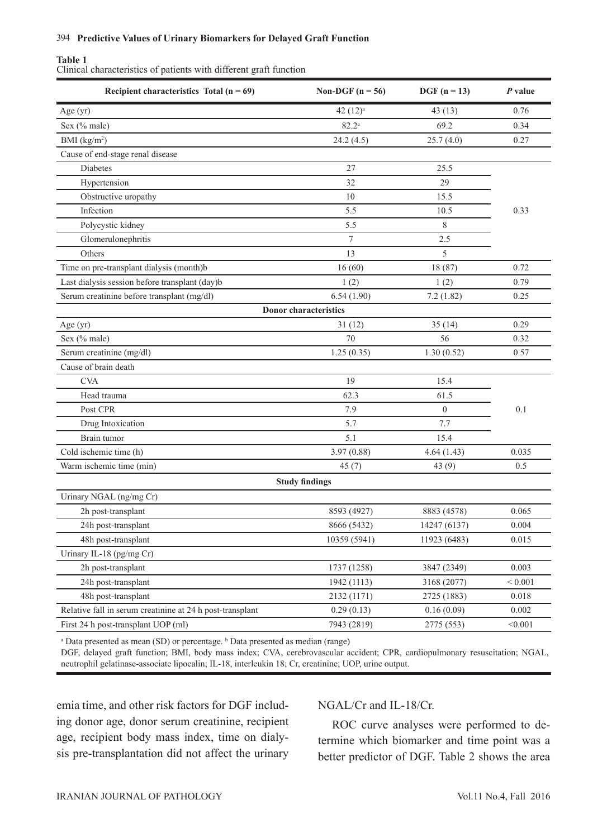### 394 **Predictive Values of Urinary Biomarkers for Delayed Graft Function**

#### **Table 1**

Clinical characteristics of patients with different graft function

| Age (yr)<br>Sex (% male)<br>BMI $(kg/m2)$<br>Cause of end-stage renal disease | $42(12)^a$<br>$82.2^{\circ}$<br>24.2(4.5)<br>27<br>32<br>10<br>5.5 | 43(13)<br>69.2<br>25.7(4.0)<br>25.5<br>29<br>15.5 | 0.76<br>0.34<br>0.27 |  |  |  |
|-------------------------------------------------------------------------------|--------------------------------------------------------------------|---------------------------------------------------|----------------------|--|--|--|
|                                                                               |                                                                    |                                                   |                      |  |  |  |
|                                                                               |                                                                    |                                                   |                      |  |  |  |
|                                                                               |                                                                    |                                                   |                      |  |  |  |
|                                                                               |                                                                    |                                                   |                      |  |  |  |
| Diabetes                                                                      |                                                                    |                                                   |                      |  |  |  |
| Hypertension                                                                  |                                                                    |                                                   |                      |  |  |  |
| Obstructive uropathy                                                          |                                                                    |                                                   |                      |  |  |  |
| Infection                                                                     |                                                                    | 10.5                                              | 0.33                 |  |  |  |
| Polycystic kidney                                                             | 5.5                                                                | $\,$ 8 $\,$                                       |                      |  |  |  |
| Glomerulonephritis                                                            | 7                                                                  | 2.5                                               |                      |  |  |  |
| Others                                                                        | 13                                                                 | 5                                                 |                      |  |  |  |
| Time on pre-transplant dialysis (month)b                                      | 16(60)                                                             | 18 (87)                                           | 0.72                 |  |  |  |
| Last dialysis session before transplant (day)b                                | 1(2)                                                               | 1(2)                                              | 0.79                 |  |  |  |
| Serum creatinine before transplant (mg/dl)                                    | 6.54(1.90)                                                         | 7.2(1.82)                                         | 0.25                 |  |  |  |
| <b>Donor characteristics</b>                                                  |                                                                    |                                                   |                      |  |  |  |
| Age $(yr)$                                                                    | 31(12)                                                             | 35(14)                                            | 0.29                 |  |  |  |
| Sex (% male)                                                                  | 70                                                                 | 56                                                | 0.32                 |  |  |  |
| Serum creatinine (mg/dl)                                                      | 1.25(0.35)                                                         | 1.30(0.52)                                        | 0.57                 |  |  |  |
| Cause of brain death                                                          |                                                                    |                                                   |                      |  |  |  |
| <b>CVA</b>                                                                    | 19                                                                 | 15.4                                              |                      |  |  |  |
| Head trauma                                                                   | 62.3                                                               | 61.5                                              |                      |  |  |  |
| Post CPR                                                                      | 7.9                                                                | $\mathbf{0}$                                      | 0.1                  |  |  |  |
| Drug Intoxication                                                             | 5.7                                                                | 7.7                                               |                      |  |  |  |
| Brain tumor                                                                   | 5.1                                                                | 15.4                                              |                      |  |  |  |
| Cold ischemic time (h)                                                        | 3.97(0.88)<br>4.64(1.43)                                           |                                                   | 0.035                |  |  |  |
| Warm ischemic time (min)                                                      | 45(7)                                                              | 43 $(9)$                                          | 0.5                  |  |  |  |
| <b>Study findings</b>                                                         |                                                                    |                                                   |                      |  |  |  |
| Urinary NGAL (ng/mg Cr)                                                       |                                                                    |                                                   |                      |  |  |  |
| 2h post-transplant                                                            | 8593 (4927)                                                        | 8883 (4578)                                       | 0.065                |  |  |  |
| 24h post-transplant                                                           | 8666 (5432)                                                        | 14247 (6137)                                      | 0.004                |  |  |  |
| 48h post-transplant                                                           | 10359 (5941)                                                       | 11923 (6483)                                      | 0.015                |  |  |  |
| Urinary IL-18 (pg/mg Cr)                                                      |                                                                    |                                                   |                      |  |  |  |
| 2h post-transplant                                                            | 1737 (1258)                                                        | 3847 (2349)                                       | 0.003                |  |  |  |
| 24h post-transplant                                                           | 1942 (1113)                                                        | 3168 (2077)                                       | ${}< 0.001$          |  |  |  |
| 48h post-transplant                                                           | 2132 (1171)                                                        | 2725 (1883)                                       | 0.018                |  |  |  |
| Relative fall in serum creatinine at 24 h post-transplant                     | 0.29(0.13)                                                         | 0.16(0.09)                                        | 0.002                |  |  |  |
| First 24 h post-transplant UOP (ml)                                           | 7943 (2819)                                                        | 2775 (553)                                        | < 0.001              |  |  |  |

<sup>a</sup> Data presented as mean (SD) or percentage. <sup>b</sup> Data presented as median (range)

DGF, delayed graft function; BMI, body mass index; CVA, cerebrovascular accident; CPR, cardiopulmonary resuscitation; NGAL, neutrophil gelatinase-associate lipocalin; IL-18, interleukin 18; Cr, creatinine; UOP, urine output.

emia time, and other risk factors for DGF including donor age, donor serum creatinine, recipient age, recipient body mass index, time on dialysis pre-transplantation did not affect the urinary

## NGAL/Cr and IL-18/Cr.

ROC curve analyses were performed to determine which biomarker and time point was a better predictor of DGF. Table 2 shows the area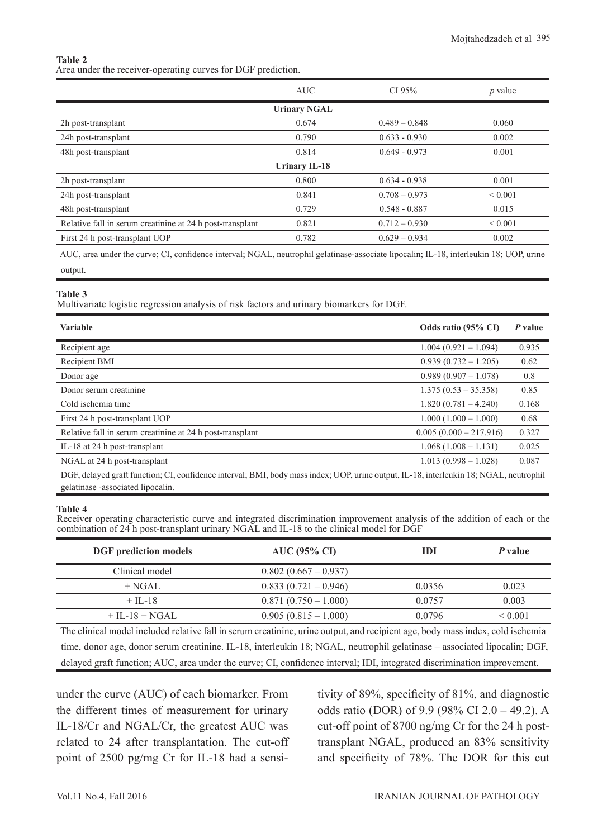#### **Table 2** Area under the receiver-operating curves for DGF prediction.

|                                                           | <b>AUC</b> | $CI$ 95%        | $p$ value    |  |  |  |
|-----------------------------------------------------------|------------|-----------------|--------------|--|--|--|
| <b>Urinary NGAL</b>                                       |            |                 |              |  |  |  |
| 2h post-transplant                                        | 0.674      | $0.489 - 0.848$ | 0.060        |  |  |  |
| 24h post-transplant                                       | 0.790      | $0.633 - 0.930$ | 0.002        |  |  |  |
| 48h post-transplant                                       | 0.814      | $0.649 - 0.973$ | 0.001        |  |  |  |
| <b>Urinary IL-18</b>                                      |            |                 |              |  |  |  |
| 2h post-transplant                                        | 0.800      | $0.634 - 0.938$ | 0.001        |  |  |  |
| 24h post-transplant                                       | 0.841      | $0.708 - 0.973$ | ${}_{0.001}$ |  |  |  |
| 48h post-transplant                                       | 0.729      | $0.548 - 0.887$ | 0.015        |  |  |  |
| Relative fall in serum creatinine at 24 h post-transplant | 0.821      | $0.712 - 0.930$ | ${}_{0.001}$ |  |  |  |
| First 24 h post-transplant UOP                            | 0.782      | $0.629 - 0.934$ | 0.002        |  |  |  |

AUC, area under the curve; CI, confidence interval; NGAL, neutrophil gelatinase-associate lipocalin; IL-18, interleukin 18; UOP, urine output.

### **Table 3**

Multivariate logistic regression analysis of risk factors and urinary biomarkers for DGF.

| <b>Variable</b>                                                                                                                                                             | Odds ratio (95% CI)      | P value |  |  |
|-----------------------------------------------------------------------------------------------------------------------------------------------------------------------------|--------------------------|---------|--|--|
| Recipient age                                                                                                                                                               | $1.004(0.921 - 1.094)$   | 0.935   |  |  |
| Recipient BMI                                                                                                                                                               | $0.939(0.732 - 1.205)$   | 0.62    |  |  |
| Donor age                                                                                                                                                                   | $0.989(0.907 - 1.078)$   | 0.8     |  |  |
| Donor serum creatinine                                                                                                                                                      | $1.375(0.53 - 35.358)$   | 0.85    |  |  |
| Cold ischemia time                                                                                                                                                          | $1.820(0.781 - 4.240)$   | 0.168   |  |  |
| First 24 h post-transplant UOP                                                                                                                                              | $1.000(1.000 - 1.000)$   | 0.68    |  |  |
| Relative fall in serum creatinine at 24 h post-transplant                                                                                                                   | $0.005(0.000 - 217.916)$ | 0.327   |  |  |
| IL-18 at 24 h post-transplant                                                                                                                                               | $1.068(1.008 - 1.131)$   | 0.025   |  |  |
| NGAL at 24 h post-transplant                                                                                                                                                | $1.013(0.998 - 1.028)$   | 0.087   |  |  |
| DGF, delayed graft function; CI, confidence interval; BMI, body mass index; UOP, urine output, IL-18, interleukin 18; NGAL, neutrophil<br>gelatinase -associated lipocalin. |                          |         |  |  |

### **Table 4**

Receiver operating characteristic curve and integrated discrimination improvement analysis of the addition of each or the combination of 24 h post-transplant urinary NGAL and IL-18 to the clinical model for DGF

| <b>DGF</b> prediction models | <b>AUC</b> (95% CI)    | IDI    | <i>P</i> value |
|------------------------------|------------------------|--------|----------------|
| Clinical model               | $0.802(0.667-0.937)$   |        |                |
| $+ NGAL$                     | $0.833(0.721-0.946)$   | 0.0356 | 0.023          |
| $+$ II $-18$                 | $0.871(0.750 - 1.000)$ | 0.0757 | 0.003          |
| $+$ IL-18 + NGAL             | $0.905(0.815 - 1.000)$ | 0.0796 | < 0.001        |

The clinical model included relative fall in serum creatinine, urine output, and recipient age, body mass index, cold ischemia time, donor age, donor serum creatinine. IL-18, interleukin 18; NGAL, neutrophil gelatinase – associated lipocalin; DGF, delayed graft function; AUC, area under the curve; CI, confidence interval; IDI, integrated discrimination improvement.

under the curve (AUC) of each biomarker. From the different times of measurement for urinary IL-18/Cr and NGAL/Cr, the greatest AUC was related to 24 after transplantation. The cut-off point of 2500 pg/mg Cr for IL-18 had a sensitivity of 89%, specificity of 81%, and diagnostic odds ratio (DOR) of 9.9 (98% CI 2.0 – 49.2). A cut-off point of 8700 ng/mg Cr for the 24 h posttransplant NGAL, produced an 83% sensitivity and specificity of 78%. The DOR for this cut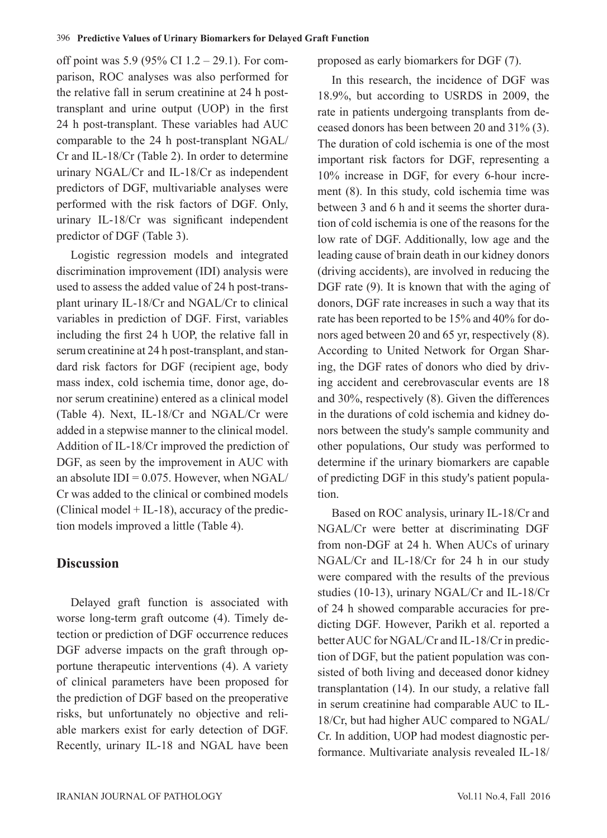off point was 5.9 (95% CI 1.2 – 29.1). For comparison, ROC analyses was also performed for the relative fall in serum creatinine at 24 h posttransplant and urine output (UOP) in the first 24 h post-transplant. These variables had AUC comparable to the 24 h post-transplant NGAL/ Cr and IL-18/Cr (Table 2). In order to determine urinary NGAL/Cr and IL-18/Cr as independent predictors of DGF, multivariable analyses were performed with the risk factors of DGF. Only, urinary IL-18/Cr was significant independent predictor of DGF (Table 3).

Logistic regression models and integrated discrimination improvement (IDI) analysis were used to assess the added value of 24 h post-transplant urinary IL-18/Cr and NGAL/Cr to clinical variables in prediction of DGF. First, variables including the first 24 h UOP, the relative fall in serum creatinine at 24 h post-transplant, and standard risk factors for DGF (recipient age, body mass index, cold ischemia time, donor age, donor serum creatinine) entered as a clinical model (Table 4). Next, IL-18/Cr and NGAL/Cr were added in a stepwise manner to the clinical model. Addition of IL-18/Cr improved the prediction of DGF, as seen by the improvement in AUC with an absolute  $IDI = 0.075$ . However, when NGAL/ Cr was added to the clinical or combined models (Clinical model  $+$  IL-18), accuracy of the prediction models improved a little (Table 4).

## **Discussion**

Delayed graft function is associated with worse long-term graft outcome (4). Timely detection or prediction of DGF occurrence reduces DGF adverse impacts on the graft through opportune therapeutic interventions (4). A variety of clinical parameters have been proposed for the prediction of DGF based on the preoperative risks, but unfortunately no objective and reliable markers exist for early detection of DGF. Recently, urinary IL-18 and NGAL have been proposed as early biomarkers for DGF (7).

In this research, the incidence of DGF was 18.9%, but according to USRDS in 2009, the rate in patients undergoing transplants from deceased donors has been between 20 and 31% (3). The duration of cold ischemia is one of the most important risk factors for DGF, representing a 10% increase in DGF, for every 6-hour increment (8). In this study, cold ischemia time was between 3 and 6 h and it seems the shorter duration of cold ischemia is one of the reasons for the low rate of DGF. Additionally, low age and the leading cause of brain death in our kidney donors (driving accidents), are involved in reducing the DGF rate (9). It is known that with the aging of donors, DGF rate increases in such a way that its rate has been reported to be 15% and 40% for donors aged between 20 and 65 yr, respectively (8). According to United Network for Organ Sharing, the DGF rates of donors who died by driving accident and cerebrovascular events are 18 and 30%, respectively (8). Given the differences in the durations of cold ischemia and kidney donors between the study's sample community and other populations, Our study was performed to determine if the urinary biomarkers are capable of predicting DGF in this study's patient population.

Based on ROC analysis, urinary IL-18/Cr and NGAL/Cr were better at discriminating DGF from non-DGF at 24 h. When AUCs of urinary NGAL/Cr and IL-18/Cr for 24 h in our study were compared with the results of the previous studies (10-13), urinary NGAL/Cr and IL-18/Cr of 24 h showed comparable accuracies for predicting DGF. However, Parikh et al. reported a better AUC for NGAL/Cr and IL-18/Cr in prediction of DGF, but the patient population was consisted of both living and deceased donor kidney transplantation (14). In our study, a relative fall in serum creatinine had comparable AUC to IL-18/Cr, but had higher AUC compared to NGAL/ Cr. In addition, UOP had modest diagnostic performance. Multivariate analysis revealed IL-18/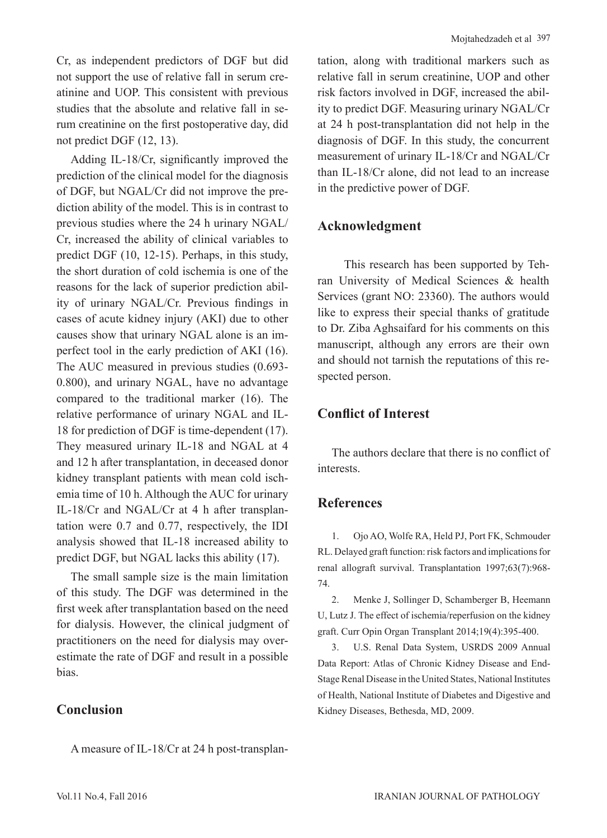Cr, as independent predictors of DGF but did not support the use of relative fall in serum creatinine and UOP. This consistent with previous studies that the absolute and relative fall in serum creatinine on the first postoperative day, did not predict DGF (12, 13).

Adding IL-18/Cr, significantly improved the prediction of the clinical model for the diagnosis of DGF, but NGAL/Cr did not improve the prediction ability of the model. This is in contrast to previous studies where the 24 h urinary NGAL/ Cr, increased the ability of clinical variables to predict DGF (10, 12-15). Perhaps, in this study, the short duration of cold ischemia is one of the reasons for the lack of superior prediction ability of urinary NGAL/Cr. Previous findings in cases of acute kidney injury (AKI) due to other causes show that urinary NGAL alone is an imperfect tool in the early prediction of AKI (16). The AUC measured in previous studies (0.693- 0.800), and urinary NGAL, have no advantage compared to the traditional marker (16). The relative performance of urinary NGAL and IL-18 for prediction of DGF is time-dependent (17). They measured urinary IL-18 and NGAL at 4 and 12 h after transplantation, in deceased donor kidney transplant patients with mean cold ischemia time of 10 h. Although the AUC for urinary IL-18/Cr and NGAL/Cr at 4 h after transplantation were 0.7 and 0.77, respectively, the IDI analysis showed that IL-18 increased ability to predict DGF, but NGAL lacks this ability (17).

The small sample size is the main limitation of this study. The DGF was determined in the first week after transplantation based on the need for dialysis. However, the clinical judgment of practitioners on the need for dialysis may overestimate the rate of DGF and result in a possible bias.

**Conclusion**

tation, along with traditional markers such as relative fall in serum creatinine, UOP and other risk factors involved in DGF, increased the ability to predict DGF. Measuring urinary NGAL/Cr at 24 h post-transplantation did not help in the diagnosis of DGF. In this study, the concurrent measurement of urinary IL-18/Cr and NGAL/Cr than IL-18/Cr alone, did not lead to an increase in the predictive power of DGF.

## **Acknowledgment**

 This research has been supported by Tehran University of Medical Sciences & health Services (grant NO: 23360). The authors would like to express their special thanks of gratitude to Dr. Ziba Aghsaifard for his comments on this manuscript, although any errors are their own and should not tarnish the reputations of this respected person.

## **Conflict of Interest**

The authors declare that there is no conflict of interests.

## **References**

1. Ojo AO, Wolfe RA, Held PJ, Port FK, Schmouder RL. Delayed graft function: risk factors and implications for renal allograft survival. Transplantation 1997;63(7):968- 74.

2. Menke J, Sollinger D, Schamberger B, Heemann U, Lutz J. The effect of ischemia/reperfusion on the kidney graft. Curr Opin Organ Transplant 2014;19(4):395-400.

3. U.S. Renal Data System, USRDS 2009 Annual Data Report: Atlas of Chronic Kidney Disease and End-Stage Renal Disease in the United States, National Institutes of Health, National Institute of Diabetes and Digestive and Kidney Diseases, Bethesda, MD, 2009.

A measure of IL-18/Cr at 24 h post-transplan-